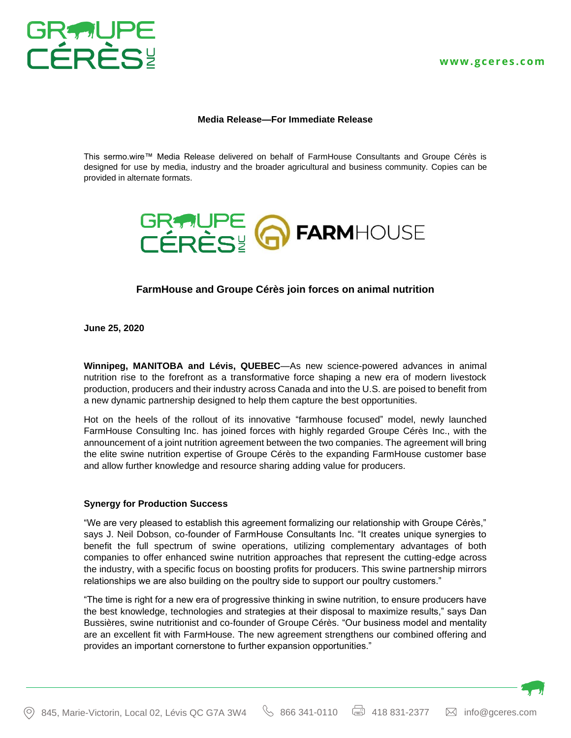

## **Media Release—For Immediate Release**

This sermo.wire™ Media Release delivered on behalf of FarmHouse Consultants and Groupe Cérès is designed for use by media, industry and the broader agricultural and business community. Copies can be provided in alternate formats.



# **FarmHouse and Groupe Cérès join forces on animal nutrition**

**June 25, 2020**

**Winnipeg, MANITOBA and Lévis, QUEBEC**—As new science-powered advances in animal nutrition rise to the forefront as a transformative force shaping a new era of modern livestock production, producers and their industry across Canada and into the U.S. are poised to benefit from a new dynamic partnership designed to help them capture the best opportunities.

Hot on the heels of the rollout of its innovative "farmhouse focused" model, newly launched FarmHouse Consulting Inc. has joined forces with highly regarded Groupe Cérès Inc., with the announcement of a joint nutrition agreement between the two companies. The agreement will bring the elite swine nutrition expertise of Groupe Cérès to the expanding FarmHouse customer base and allow further knowledge and resource sharing adding value for producers.

#### **Synergy for Production Success**

"We are very pleased to establish this agreement formalizing our relationship with Groupe Cérès," says J. Neil Dobson, co-founder of FarmHouse Consultants Inc. "It creates unique synergies to benefit the full spectrum of swine operations, utilizing complementary advantages of both companies to offer enhanced swine nutrition approaches that represent the cutting-edge across the industry, with a specific focus on boosting profits for producers. This swine partnership mirrors relationships we are also building on the poultry side to support our poultry customers."

"The time is right for a new era of progressive thinking in swine nutrition, to ensure producers have the best knowledge, technologies and strategies at their disposal to maximize results," says Dan Bussières, swine nutritionist and co-founder of Groupe Cérès. "Our business model and mentality are an excellent fit with FarmHouse. The new agreement strengthens our combined offering and provides an important cornerstone to further expansion opportunities."